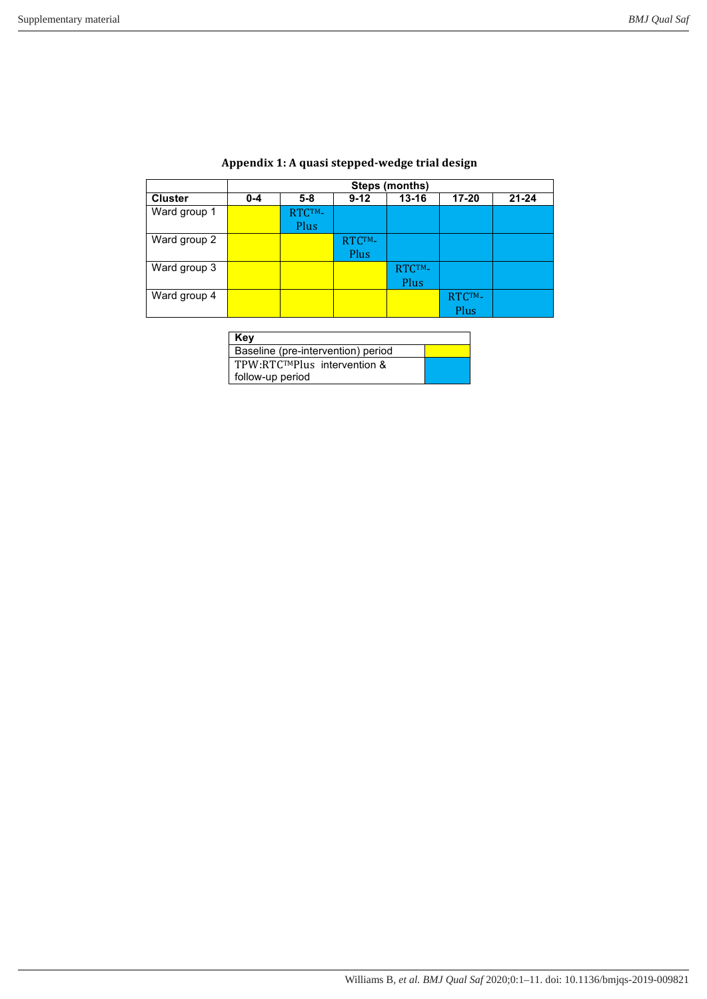|                | Steps (months) |                |                |                |                |           |  |  |
|----------------|----------------|----------------|----------------|----------------|----------------|-----------|--|--|
| <b>Cluster</b> | $0 - 4$        | $5 - 8$        | $9 - 12$       | $13 - 16$      | $17 - 20$      | $21 - 24$ |  |  |
| Ward group 1   |                | RTCTM-<br>Plus |                |                |                |           |  |  |
| Ward group 2   |                |                | RTCTM-<br>Plus |                |                |           |  |  |
| Ward group 3   |                |                |                | RTCTM-<br>Plus |                |           |  |  |
| Ward group 4   |                |                |                |                | RTCTM-<br>Plus |           |  |  |

## **Appendix 1: A quasi stepped-wedge trial design**

# **Key**

| Key                                |  |  |
|------------------------------------|--|--|
| Baseline (pre-intervention) period |  |  |
| TPW:RTCTMPlus intervention &       |  |  |
| follow-up period                   |  |  |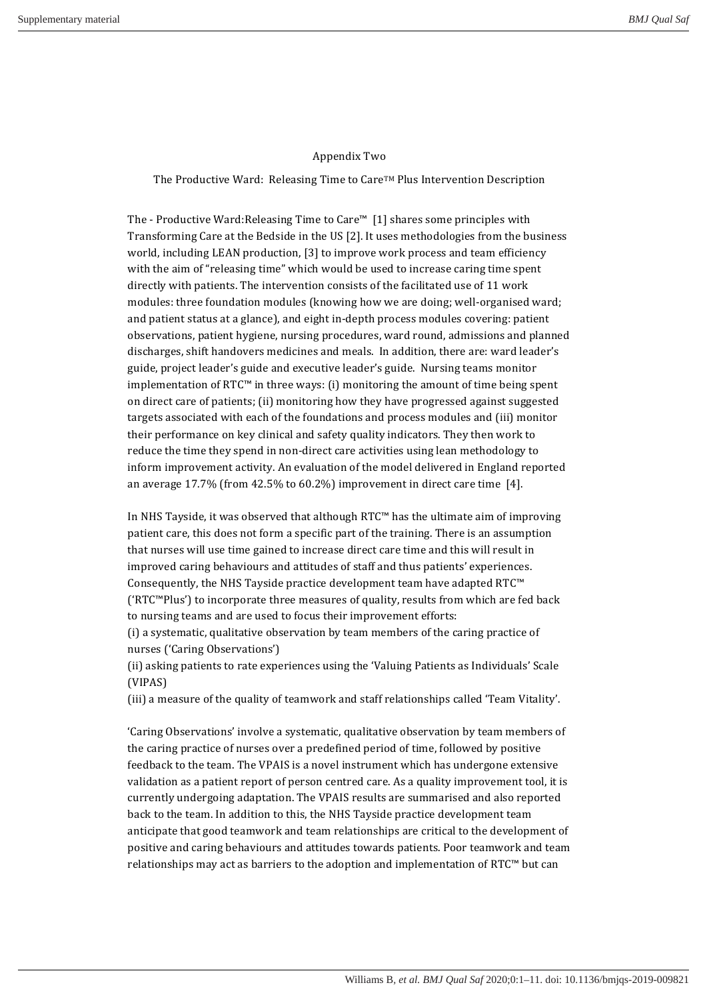#### Appendix Two

The Productive Ward: Releasing Time to Care<sup>TM</sup> Plus Intervention Description

The - Productive Ward:Releasing Time to Care™ [1] shares some principles with Transforming Care at the Bedside in the US  $[2]$ . It uses methodologies from the business world, including LEAN production, [3] to improve work process and team efficiency with the aim of "releasing time" which would be used to increase caring time spent directly with patients. The intervention consists of the facilitated use of 11 work modules: three foundation modules (knowing how we are doing; well-organised ward; and patient status at a glance), and eight in-depth process modules covering: patient observations, patient hygiene, nursing procedures, ward round, admissions and planned discharges, shift handovers medicines and meals. In addition, there are: ward leader's guide, project leader's guide and executive leader's guide. Nursing teams monitor implementation of  $RTC^M$  in three ways: (i) monitoring the amount of time being spent on direct care of patients; (ii) monitoring how they have progressed against suggested targets associated with each of the foundations and process modules and (iii) monitor their performance on key clinical and safety quality indicators. They then work to reduce the time they spend in non-direct care activities using lean methodology to inform improvement activity. An evaluation of the model delivered in England reported an average  $17.7\%$  (from  $42.5\%$  to  $60.2\%$ ) improvement in direct care time [4].

In NHS Tayside, it was observed that although  $RTC^M$  has the ultimate aim of improving patient care, this does not form a specific part of the training. There is an assumption that nurses will use time gained to increase direct care time and this will result in improved caring behaviours and attitudes of staff and thus patients' experiences. Consequently, the NHS Tayside practice development team have adapted RTC™  $({}^{\prime}RTC^{\prime\prime}$ Plus') to incorporate three measures of quality, results from which are fed back to nursing teams and are used to focus their improvement efforts:

(i) a systematic, qualitative observation by team members of the caring practice of nurses ('Caring Observations')

(ii) asking patients to rate experiences using the 'Valuing Patients as Individuals' Scale (VIPAS)

(iii) a measure of the quality of teamwork and staff relationships called 'Team Vitality'.

'Caring Observations' involve a systematic, qualitative observation by team members of the caring practice of nurses over a predefined period of time, followed by positive feedback to the team. The VPAIS is a novel instrument which has undergone extensive validation as a patient report of person centred care. As a quality improvement tool, it is currently undergoing adaptation. The VPAIS results are summarised and also reported back to the team. In addition to this, the NHS Tayside practice development team anticipate that good teamwork and team relationships are critical to the development of positive and caring behaviours and attitudes towards patients. Poor teamwork and team relationships may act as barriers to the adoption and implementation of  $RTC<sup>m</sup>$  but can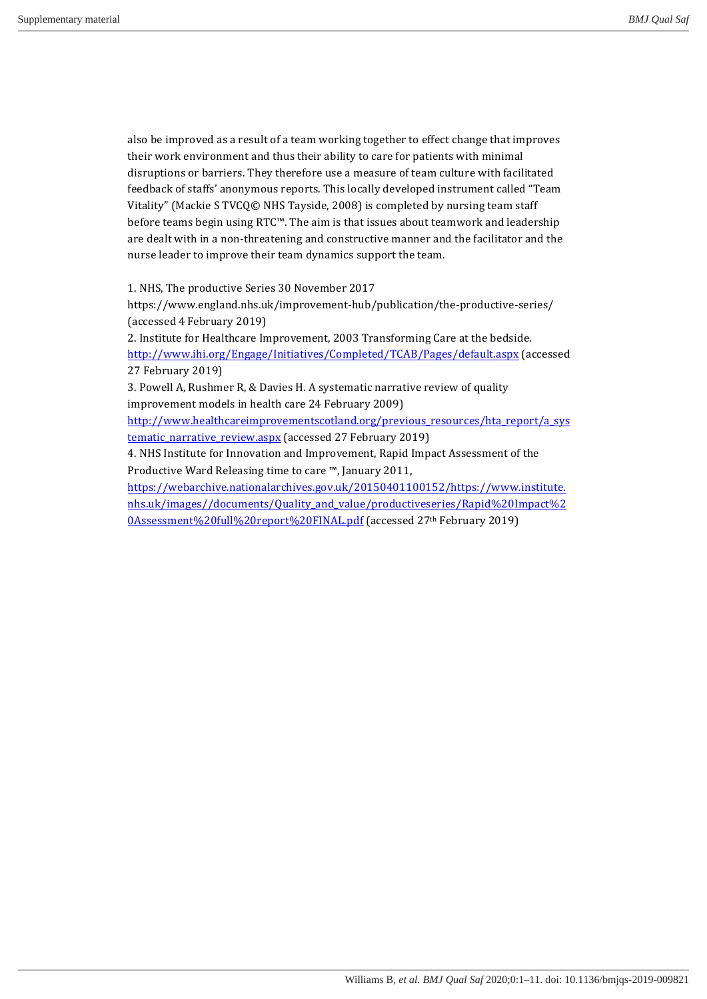also be improved as a result of a team working together to effect change that improves their work environment and thus their ability to care for patients with minimal disruptions or barriers. They therefore use a measure of team culture with facilitated feedback of staffs' anonymous reports. This locally developed instrument called "Team Vitality" (Mackie S TVCQ© NHS Tayside, 2008) is completed by nursing team staff before teams begin using  $RTC^M$ . The aim is that issues about teamwork and leadership are dealt with in a non-threatening and constructive manner and the facilitator and the nurse leader to improve their team dynamics support the team.

1. NHS, The productive Series 30 November 2017

https://www.england.nhs.uk/improvement-hub/publication/the-productive-series/ (accessed 4 February 2019)

2. Institute for Healthcare Improvement, 2003 Transforming Care at the bedside. http://www.ihi.org/Engage/Initiatives/Completed/TCAB/Pages/default.aspx (accessed 27 February 2019) 

3. Powell A, Rushmer R, & Davies H. A systematic narrative review of quality improvement models in health care 24 February 2009)

http://www.healthcareimprovementscotland.org/previous\_resources/hta\_report/a\_sys tematic\_narrative\_review.aspx (accessed 27 February 2019)

4. NHS Institute for Innovation and Improvement, Rapid Impact Assessment of the Productive Ward Releasing time to care ™, January 2011,

https://webarchive.nationalarchives.gov.uk/20150401100152/https://www.institute. nhs.uk/images//documents/Quality\_and\_value/productiveseries/Rapid%20Impact%2 0Assessment%20full%20report%20FINAL.pdf (accessed 27th February 2019)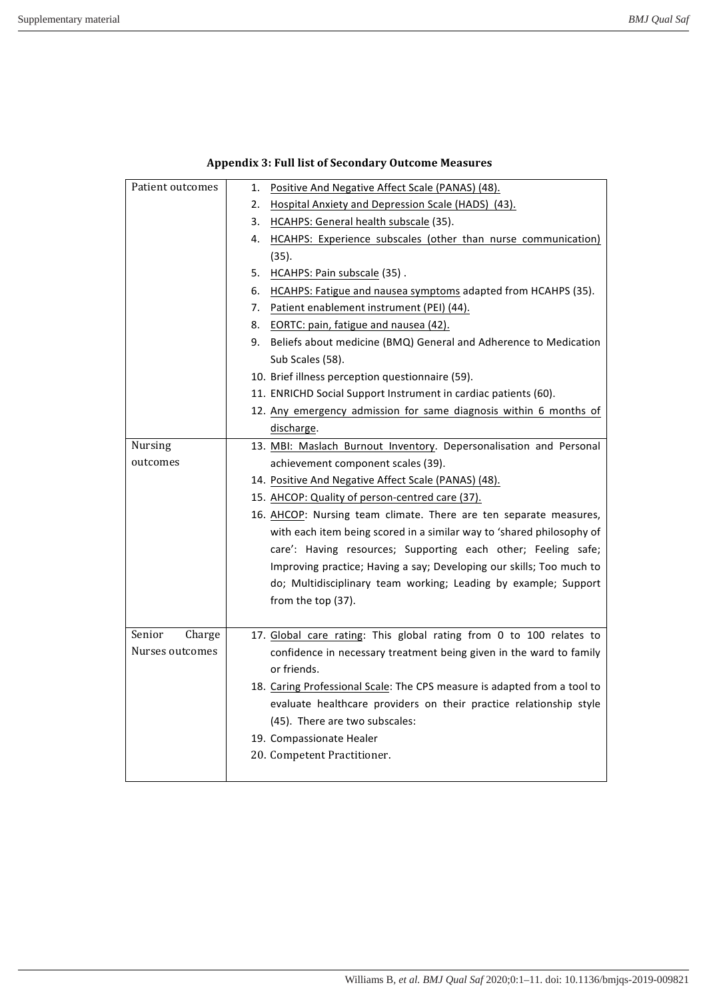| Patient outcomes | 1.<br>Positive And Negative Affect Scale (PANAS) (48).                   |
|------------------|--------------------------------------------------------------------------|
|                  | 2.<br>Hospital Anxiety and Depression Scale (HADS) (43).                 |
|                  | 3.<br>HCAHPS: General health subscale (35).                              |
|                  | HCAHPS: Experience subscales (other than nurse communication)<br>4.      |
|                  | (35).                                                                    |
|                  | HCAHPS: Pain subscale (35).<br>5.                                        |
|                  | HCAHPS: Fatigue and nausea symptoms adapted from HCAHPS (35).<br>6.      |
|                  | 7. Patient enablement instrument (PEI) (44).                             |
|                  | EORTC: pain, fatigue and nausea (42).<br>8.                              |
|                  | 9. Beliefs about medicine (BMQ) General and Adherence to Medication      |
|                  | Sub Scales (58).                                                         |
|                  | 10. Brief illness perception questionnaire (59).                         |
|                  | 11. ENRICHD Social Support Instrument in cardiac patients (60).          |
|                  | 12. Any emergency admission for same diagnosis within 6 months of        |
|                  | discharge.                                                               |
| Nursing          | 13. MBI: Maslach Burnout Inventory. Depersonalisation and Personal       |
| outcomes         | achievement component scales (39).                                       |
|                  | 14. Positive And Negative Affect Scale (PANAS) (48).                     |
|                  | 15. AHCOP: Quality of person-centred care (37).                          |
|                  | 16. AHCOP: Nursing team climate. There are ten separate measures,        |
|                  | with each item being scored in a similar way to 'shared philosophy of    |
|                  | care': Having resources; Supporting each other; Feeling safe;            |
|                  | Improving practice; Having a say; Developing our skills; Too much to     |
|                  | do; Multidisciplinary team working; Leading by example; Support          |
|                  | from the top (37).                                                       |
|                  |                                                                          |
| Senior<br>Charge | 17. Global care rating: This global rating from 0 to 100 relates to      |
| Nurses outcomes  | confidence in necessary treatment being given in the ward to family      |
|                  | or friends.                                                              |
|                  | 18. Caring Professional Scale: The CPS measure is adapted from a tool to |
|                  | evaluate healthcare providers on their practice relationship style       |
|                  | (45). There are two subscales:                                           |
|                  | 19. Compassionate Healer                                                 |
|                  | 20. Competent Practitioner.                                              |
|                  |                                                                          |

## Appendix 3: Full list of Secondary Outcome Measures